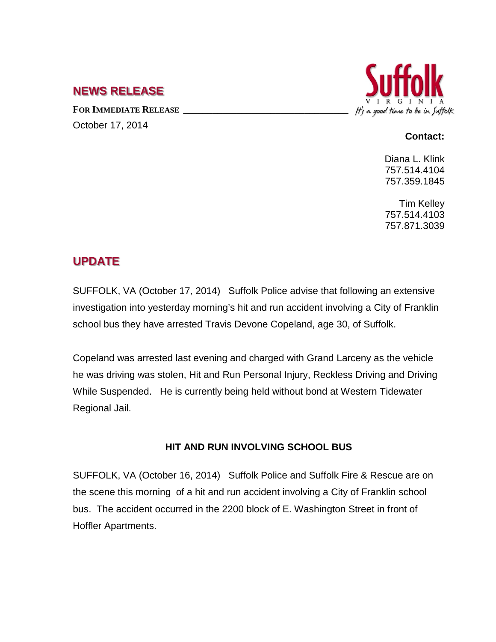## **NEWS RELEASE**

FOR **IMMEDIATE RELEASE** October 17, 2014



## **Contact:**

Diana L. Klink 757.514.4104 757.359.1845

Tim Kelley 757.514.4103 757.871.3039

## **UPDATE**

SUFFOLK, VA (October 17, 2014) Suffolk Police advise that following an extensive investigation into yesterday morning's hit and run accident involving a City of Franklin school bus they have arrested Travis Devone Copeland, age 30, of Suffolk.

Copeland was arrested last evening and charged with Grand Larceny as the vehicle he was driving was stolen, Hit and Run Personal Injury, Reckless Driving and Driving While Suspended. He is currently being held without bond at Western Tidewater Regional Jail.

## **HIT AND RUN INVOLVING SCHOOL BUS**

SUFFOLK, VA (October 16, 2014) Suffolk Police and Suffolk Fire & Rescue are on the scene this morning of a hit and run accident involving a City of Franklin school bus. The accident occurred in the 2200 block of E. Washington Street in front of Hoffler Apartments.